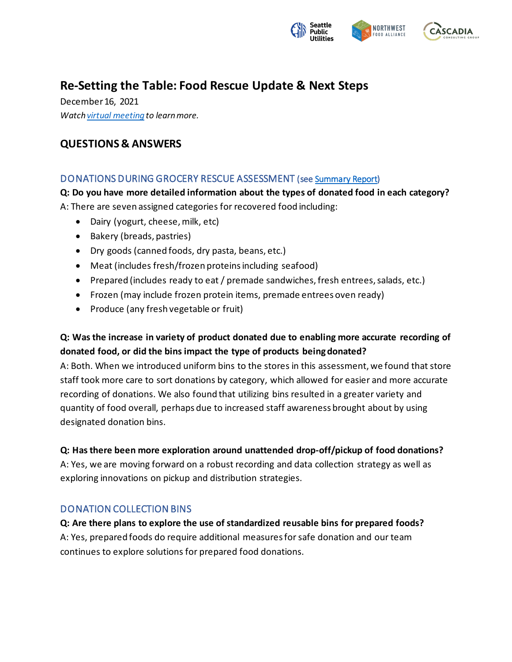

# **Re-Setting the Table: Food Rescue Update & Next Steps**

December 16, 2021 *Watch virtual [meeting](https://www.youtube.com/watch?v=Q965l7PGV1w) to learn more.*

# **QUESTIONS & ANSWERS**

## DONATIONS DURING GROCERY RESCUE ASSESSMENT (se[e Summary Report](https://www.seattle.gov/Documents/Departments/SPU/Documents/GroceryRescueFindingsSummary.pdf))

**Q: Do you have more detailed information about the types of donated food in each category?** A: There are seven assigned categories for recovered food including:

- Dairy (yogurt, cheese, milk, etc)
- Bakery (breads, pastries)
- Dry goods (canned foods, dry pasta, beans, etc.)
- Meat (includes fresh/frozen proteins including seafood)
- Prepared (includes ready to eat / premade sandwiches, fresh entrees, salads, etc.)
- Frozen (may include frozen protein items, premade entrees oven ready)
- Produce (any fresh vegetable or fruit)

## **Q: Was the increase in variety of product donated due to enabling more accurate recording of donated food, or did the bins impact the type of products being donated?**

A: Both. When we introduced uniform bins to the stores in this assessment, we found that store staff took more care to sort donations by category, which allowed for easier and more accurate recording of donations. We also found that utilizing bins resulted in a greater variety and quantity of food overall, perhaps due to increased staff awareness brought about by using designated donation bins.

#### **Q: Has there been more exploration around unattended drop-off/pickup of food donations?**

A: Yes, we are moving forward on a robust recording and data collection strategy as well as exploring innovations on pickup and distribution strategies.

## DONATION COLLECTION BINS

**Q: Are there plans to explore the use of standardized reusable bins for prepared foods?** A: Yes, prepared foods do require additional measures for safe donation and our team continues to explore solutions for prepared food donations.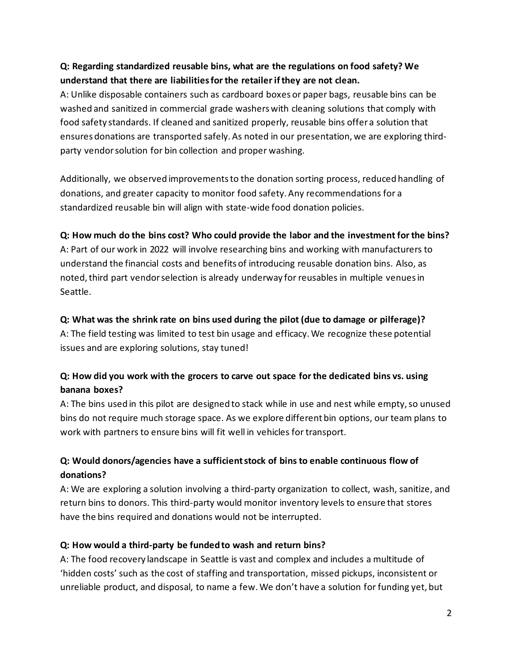## **Q: Regarding standardized reusable bins, what are the regulations on food safety? We understand that there are liabilitiesfor the retailer if they are not clean.**

A: Unlike disposable containers such as cardboard boxes or paper bags, reusable bins can be washed and sanitized in commercial grade washers with cleaning solutions that comply with food safety standards. If cleaned and sanitized properly, reusable bins offer a solution that ensures donations are transported safely. As noted in our presentation, we are exploring thirdparty vendor solution for bin collection and proper washing.

Additionally, we observed improvementsto the donation sorting process, reduced handling of donations, and greater capacity to monitor food safety. Any recommendations for a standardized reusable bin will align with state-wide food donation policies.

#### **Q: How much do the bins cost? Who could provide the labor and the investment for the bins?**

A: Part of our work in 2022 will involve researching bins and working with manufacturers to understand the financial costs and benefits of introducing reusable donation bins. Also, as noted, third part vendor selection is already underway for reusables in multiple venues in Seattle.

#### **Q: What was the shrink rate on bins used during the pilot (due to damage or pilferage)?**

A: The field testing was limited to test bin usage and efficacy. We recognize these potential issues and are exploring solutions, stay tuned!

## **Q: How did you work with the grocers to carve out space for the dedicated bins vs. using banana boxes?**

A: The bins used in this pilot are designed to stack while in use and nest while empty, so unused bins do not require much storage space. As we explore different bin options, our team plans to work with partners to ensure bins will fit well in vehicles for transport.

# **Q: Would donors/agencies have a sufficient stock of bins to enable continuous flow of donations?**

A: We are exploring a solution involving a third-party organization to collect, wash, sanitize, and return bins to donors. This third-party would monitor inventory levels to ensure that stores have the bins required and donations would not be interrupted.

## **Q: How would a third-party be funded to wash and return bins?**

A: The food recovery landscape in Seattle is vast and complex and includes a multitude of 'hidden costs' such as the cost of staffing and transportation, missed pickups, inconsistent or unreliable product, and disposal, to name a few. We don't have a solution for funding yet, but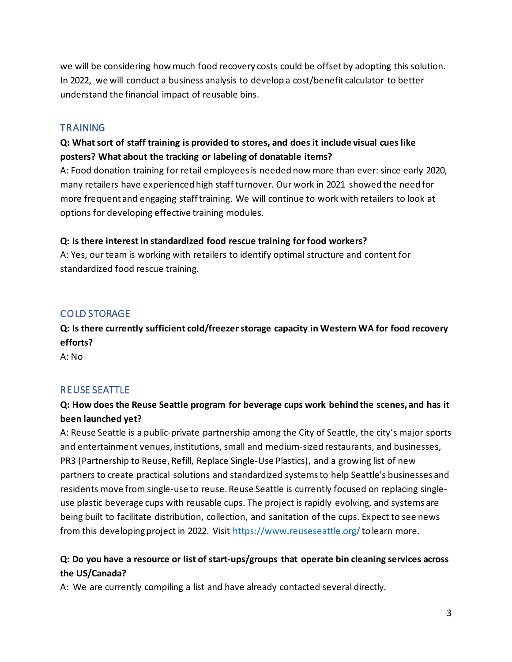we will be considering how much food recovery costs could be offset by adopting this solution. In 2022, we will conduct a business analysis to develop a cost/benefit calculator to better understand the financial impact of reusable bins.

#### **TRAINING**

## **Q: What sort of staff training is provided to stores, and does it include visual cues like posters? What about the tracking or labeling of donatable items?**

A: Food donation training for retail employees is needed now more than ever: since early 2020, many retailers have experienced high staff turnover. Our work in 2021 showed the need for more frequent and engaging staff training. We will continue to work with retailers to look at options for developing effective training modules.

#### **Q: Is there interest in standardized food rescue training for food workers?**

A: Yes, our team is working with retailers to identify optimal structure and content for standardized food rescue training.

## COLD STORAGE

**Q: Is there currently sufficient cold/freezer storage capacity in Western WA for food recovery efforts?** 

A: No

## REUSE SEATTLE

# **Q: How does the Reuse Seattle program for beverage cups work behind the scenes, and has it been launched yet?**

A: Reuse Seattle is a public-private partnership among the City of Seattle, the city's major sports and entertainment venues, institutions, small and medium-sized restaurants, and businesses, PR3 (Partnership to Reuse, Refill, Replace Single-Use Plastics), and a growing list of new partners to create practical solutions and standardized systems to help Seattle's businesses and residents move from single-use to reuse. Reuse Seattle is currently focused on replacing singleuse plastic beverage cups with reusable cups. The project is rapidly evolving, and systems are being built to facilitate distribution, collection, and sanitation of the cups. Expect to see news from this developing project in 2022. Visit<https://www.reuseseattle.org/>to learn more.

## **Q: Do you have a resource or list of start-ups/groups that operate bin cleaning services across the US/Canada?**

A: We are currently compiling a list and have already contacted several directly.